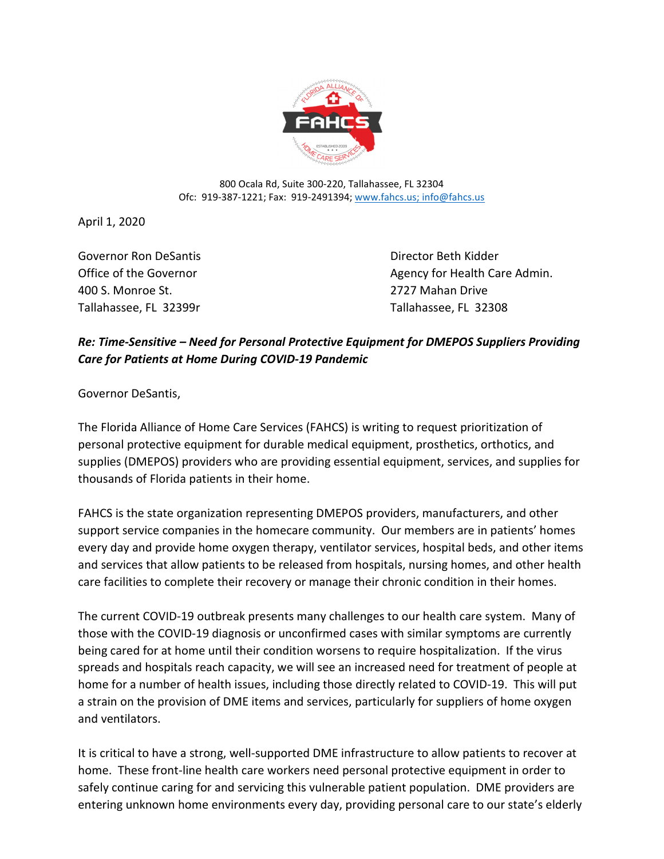

800 Ocala Rd, Suite 300-220, Tallahassee, FL 32304 Ofc: 919-387-1221; Fax: 919-2491394; www.fahcs.us; info@fahcs.us

April 1, 2020

Governor Ron DeSantis **Communist Contract Contract Contract Contract Contract Contract Contract Contract Contract Contract Contract Contract Contract Contract Contract Contract Contract Contract Contract Contract Contract** 400 S. Monroe St. 2727 Mahan Drive Tallahassee, FL 32399r Tallahassee, FL 32308

Office of the Governor and Agency for Health Care Admin.

## *Re: Time-Sensitive – Need for Personal Protective Equipment for DMEPOS Suppliers Providing Care for Patients at Home During COVID-19 Pandemic*

Governor DeSantis,

The Florida Alliance of Home Care Services (FAHCS) is writing to request prioritization of personal protective equipment for durable medical equipment, prosthetics, orthotics, and supplies (DMEPOS) providers who are providing essential equipment, services, and supplies for thousands of Florida patients in their home.

FAHCS is the state organization representing DMEPOS providers, manufacturers, and other support service companies in the homecare community. Our members are in patients' homes every day and provide home oxygen therapy, ventilator services, hospital beds, and other items and services that allow patients to be released from hospitals, nursing homes, and other health care facilities to complete their recovery or manage their chronic condition in their homes.

The current COVID-19 outbreak presents many challenges to our health care system. Many of those with the COVID-19 diagnosis or unconfirmed cases with similar symptoms are currently being cared for at home until their condition worsens to require hospitalization. If the virus spreads and hospitals reach capacity, we will see an increased need for treatment of people at home for a number of health issues, including those directly related to COVID-19. This will put a strain on the provision of DME items and services, particularly for suppliers of home oxygen and ventilators.

It is critical to have a strong, well-supported DME infrastructure to allow patients to recover at home. These front-line health care workers need personal protective equipment in order to safely continue caring for and servicing this vulnerable patient population. DME providers are entering unknown home environments every day, providing personal care to our state's elderly